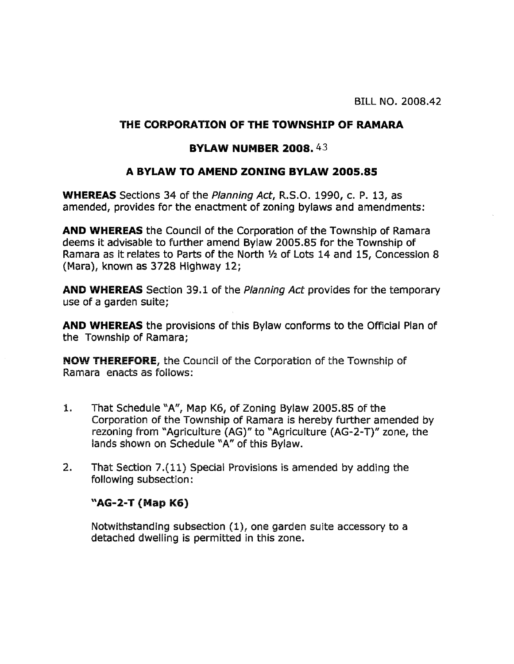## THE CORPORATION OF THE TOWNSHIP OF RAMARA

## **BYLAW NUMBER 2008.43**

## A BYLAW TO AMEND ZONING BYLAW 2005.85

**WHEREAS** Sections 34 of the *Planning Act*, R.S.O. 1990, c. P. 13, as amended, provides for the enactment of zoning bylaws and amendments:

**AND WHEREAS** the Council of the Corporation of the Township of Ramara deems it advisable to further amend Bylaw 2005.85 for the Township of Ramara as it relates to Parts of the North 1/2 of Lots 14 and 15, Concession 8 (Mara), known as 3728 Highway 12:

**AND WHEREAS** Section 39.1 of the *Planning Act* provides for the temporary use of a garden suite:

**AND WHEREAS** the provisions of this Bylaw conforms to the Official Plan of the Township of Ramara;

**NOW THEREFORE, the Council of the Corporation of the Township of** Ramara enacts as follows:

- 1. That Schedule "A", Map K6, of Zoning Bylaw 2005.85 of the Corporation of the Township of Ramara is hereby further amended by rezoning from "Agriculture (AG)" to "Agriculture (AG-2-T)" zone, the lands shown on Schedule "A" of this Bylaw.
- $2.$ That Section 7.(11) Special Provisions is amended by adding the following subsection:

## "AG-2-T (Map K6)

Notwithstanding subsection (1), one garden suite accessory to a detached dwelling is permitted in this zone.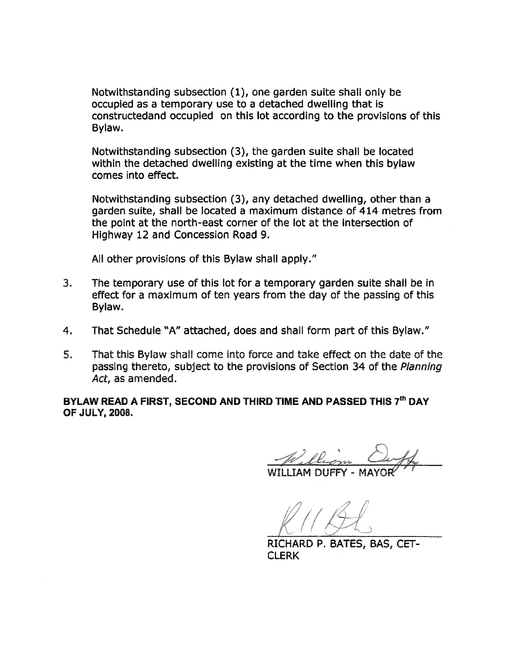Notwithstanding subsection (1), one garden suite shall only be occupied as a temporary use to a detached dwelling that is constructedand occupied on this lot according to the provisions of this Bylaw.

Notwithstanding subsection (3), the garden suite shall be located within the detached dwelling existing at the time when this bylaw comes into effect.

Notwithstanding subsection (3), any detached dwelling, other than a garden suite, shall be located a maximum distance of 414 metres from the point at the north-east corner of the lot at the intersection of Highway 12 and Concession Road 9.

All other provisions of this Bylaw shall apply."

- $3.$ The temporary use of this lot for a temporary garden suite shall be in effect for a maximum of ten years from the day of the passing of this Bylaw.
- That Schedule "A" attached, does and shall form part of this Bylaw."  $4.$
- $5.$ That this Bylaw shall come into force and take effect on the date of the passing thereto, subject to the provisions of Section 34 of the Planning Act. as amended.

BYLAW READ A FIRST, SECOND AND THIRD TIME AND PASSED THIS 7th DAY OF JULY, 2008.

RICHARD P. BATES, BAS, CET-**CLERK**